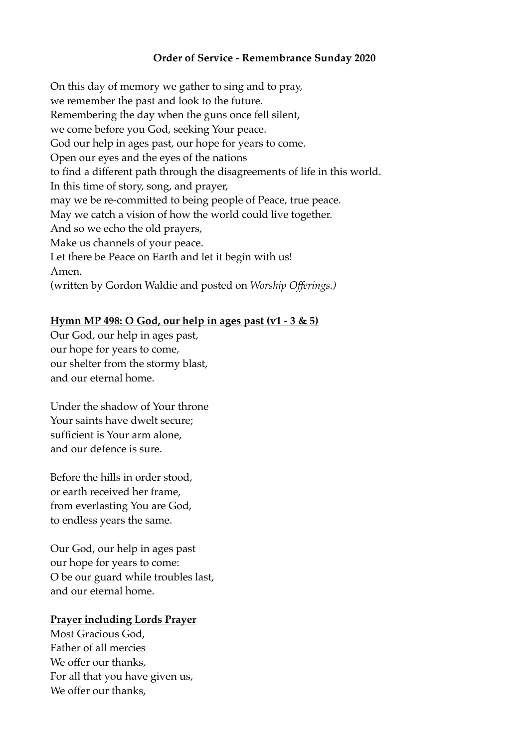#### **Order of Service - Remembrance Sunday 2020**

On this day of memory we gather to sing and to pray, we remember the past and look to the future. Remembering the day when the guns once fell silent, we come before you God, seeking Your peace. God our help in ages past, our hope for years to come. Open our eyes and the eyes of the nations to find a different path through the disagreements of life in this world. In this time of story, song, and prayer, may we be re-committed to being people of Peace, true peace. May we catch a vision of how the world could live together. And so we echo the old prayers, Make us channels of your peace. Let there be Peace on Earth and let it begin with us! Amen. (written by Gordon Waldie and posted on *Worship Offerings.)*

#### **Hymn MP 498: O God, our help in ages past (v1 - 3 & 5)**

Our God, our help in ages past, our hope for years to come, our shelter from the stormy blast, and our eternal home.

Under the shadow of Your throne Your saints have dwelt secure; sufficient is Your arm alone, and our defence is sure.

Before the hills in order stood, or earth received her frame, from everlasting You are God, to endless years the same.

Our God, our help in ages past our hope for years to come: O be our guard while troubles last, and our eternal home.

#### **Prayer including Lords Prayer**

Most Gracious God, Father of all mercies We offer our thanks. For all that you have given us, We offer our thanks.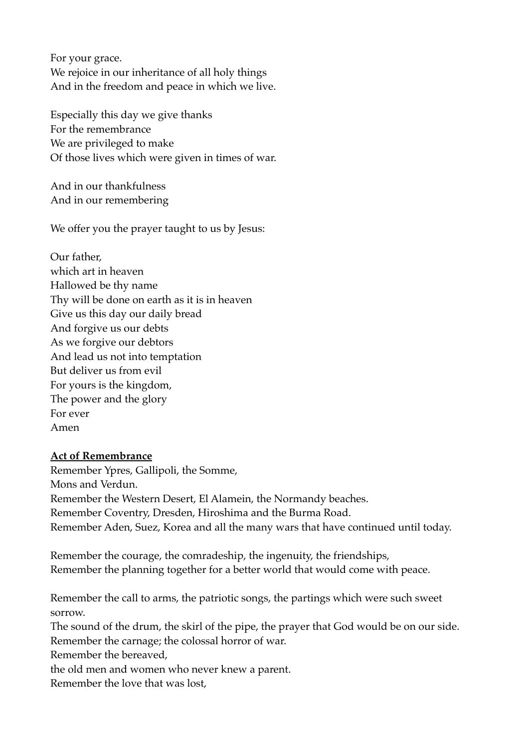For your grace. We rejoice in our inheritance of all holy things And in the freedom and peace in which we live.

Especially this day we give thanks For the remembrance We are privileged to make Of those lives which were given in times of war.

And in our thankfulness And in our remembering

We offer you the prayer taught to us by Jesus:

Our father, which art in heaven Hallowed be thy name Thy will be done on earth as it is in heaven Give us this day our daily bread And forgive us our debts As we forgive our debtors And lead us not into temptation But deliver us from evil For yours is the kingdom, The power and the glory For ever Amen

## **Act of Remembrance**

Remember Ypres, Gallipoli, the Somme, Mons and Verdun. Remember the Western Desert, El Alamein, the Normandy beaches. Remember Coventry, Dresden, Hiroshima and the Burma Road. Remember Aden, Suez, Korea and all the many wars that have continued until today.

Remember the courage, the comradeship, the ingenuity, the friendships, Remember the planning together for a better world that would come with peace.

Remember the call to arms, the patriotic songs, the partings which were such sweet sorrow.

The sound of the drum, the skirl of the pipe, the prayer that God would be on our side. Remember the carnage; the colossal horror of war.

Remember the bereaved,

the old men and women who never knew a parent.

Remember the love that was lost,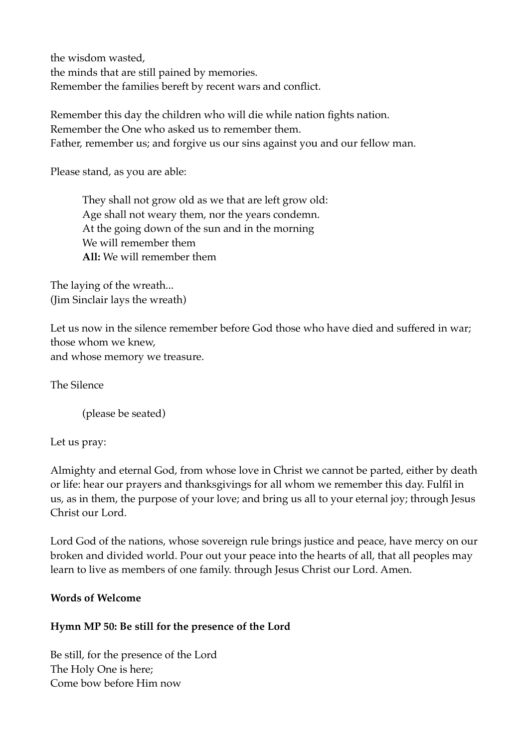the wisdom wasted, the minds that are still pained by memories. Remember the families bereft by recent wars and conflict.

Remember this day the children who will die while nation fights nation. Remember the One who asked us to remember them. Father, remember us; and forgive us our sins against you and our fellow man.

Please stand, as you are able:

They shall not grow old as we that are left grow old: Age shall not weary them, nor the years condemn. At the going down of the sun and in the morning We will remember them **All:** We will remember them

The laying of the wreath... (Jim Sinclair lays the wreath)

Let us now in the silence remember before God those who have died and suffered in war; those whom we knew, and whose memory we treasure.

The Silence

(please be seated)

Let us pray:

Almighty and eternal God, from whose love in Christ we cannot be parted, either by death or life: hear our prayers and thanksgivings for all whom we remember this day. Fulfil in us, as in them, the purpose of your love; and bring us all to your eternal joy; through Jesus Christ our Lord.

Lord God of the nations, whose sovereign rule brings justice and peace, have mercy on our broken and divided world. Pour out your peace into the hearts of all, that all peoples may learn to live as members of one family. through Jesus Christ our Lord. Amen.

## **Words of Welcome**

# **Hymn MP 50: Be still for the presence of the Lord**

Be still, for the presence of the Lord The Holy One is here; Come bow before Him now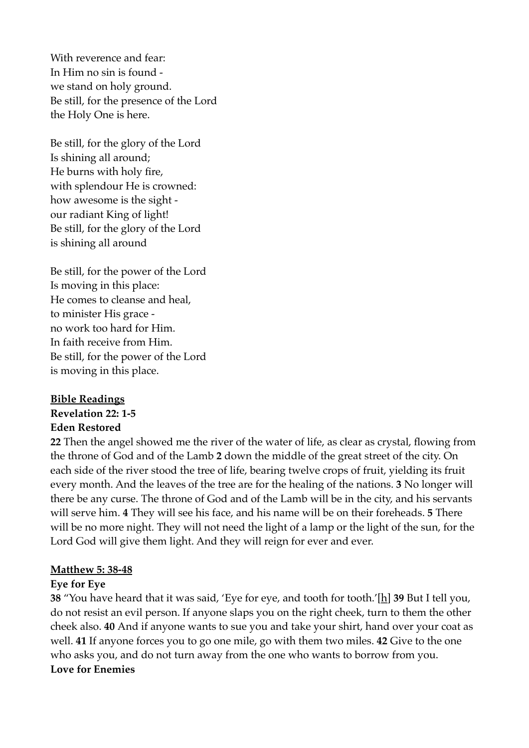With reverence and fear: In Him no sin is found we stand on holy ground. Be still, for the presence of the Lord the Holy One is here.

Be still, for the glory of the Lord Is shining all around; He burns with holy fire, with splendour He is crowned: how awesome is the sight our radiant King of light! Be still, for the glory of the Lord is shining all around

Be still, for the power of the Lord Is moving in this place: He comes to cleanse and heal, to minister His grace no work too hard for Him. In faith receive from Him. Be still, for the power of the Lord is moving in this place.

# **Bible Readings**

**Revelation 22: 1-5 Eden Restored**

**22** Then the angel showed me the river of the water of life, as clear as crystal, flowing from the throne of God and of the Lamb **2** down the middle of the great street of the city. On each side of the river stood the tree of life, bearing twelve crops of fruit, yielding its fruit every month. And the leaves of the tree are for the healing of the nations. **3** No longer will there be any curse. The throne of God and of the Lamb will be in the city, and his servants will serve him. **4** They will see his face, and his name will be on their foreheads. **5** There will be no more night. They will not need the light of a lamp or the light of the sun, for the Lord God will give them light. And they will reign for ever and ever.

## **Matthew 5: 38-48**

## **Eye for Eye**

**38** "You have heard that it was said, 'Eye for eye, and tooth for tooth.'[h] **39** But I tell you, do not resist an evil person. If anyone slaps you on the right cheek, turn to them the other cheek also. **40** And if anyone wants to sue you and take your shirt, hand over your coat as well. **41** If anyone forces you to go one mile, go with them two miles. **42** Give to the one who asks you, and do not turn away from the one who wants to borrow from you. **Love for Enemies**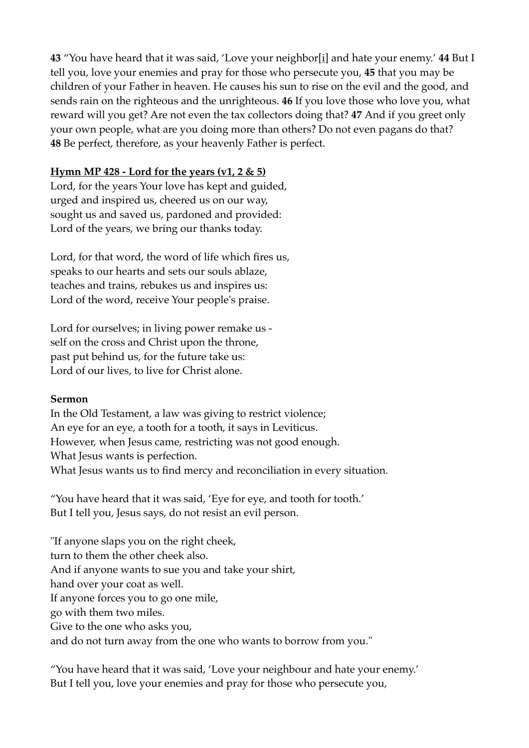**43** "You have heard that it was said, 'Love your neighbor[i] and hate your enemy.' **44** But I tell you, love your enemies and pray for those who persecute you, **45** that you may be children of your Father in heaven. He causes his sun to rise on the evil and the good, and sends rain on the righteous and the unrighteous. **46** If you love those who love you, what reward will you get? Are not even the tax collectors doing that? **47** And if you greet only your own people, what are you doing more than others? Do not even pagans do that? **48** Be perfect, therefore, as your heavenly Father is perfect.

#### **Hymn MP 428 - Lord for the years (v1, 2 & 5)**

Lord, for the years Your love has kept and guided, urged and inspired us, cheered us on our way, sought us and saved us, pardoned and provided: Lord of the years, we bring our thanks today.

Lord, for that word, the word of life which fires us, speaks to our hearts and sets our souls ablaze, teaches and trains, rebukes us and inspires us: Lord of the word, receive Your people's praise.

Lord for ourselves; in living power remake us self on the cross and Christ upon the throne, past put behind us, for the future take us: Lord of our lives, to live for Christ alone.

#### **Sermon**

In the Old Testament, a law was giving to restrict violence; An eye for an eye, a tooth for a tooth, it says in Leviticus. However, when Jesus came, restricting was not good enough. What Jesus wants is perfection. What Jesus wants us to find mercy and reconciliation in every situation.

"You have heard that it was said, 'Eye for eye, and tooth for tooth.' But I tell you, Jesus says, do not resist an evil person.

"If anyone slaps you on the right cheek, turn to them the other cheek also. And if anyone wants to sue you and take your shirt, hand over your coat as well. If anyone forces you to go one mile, go with them two miles. Give to the one who asks you, and do not turn away from the one who wants to borrow from you."

"You have heard that it was said, 'Love your neighbour and hate your enemy.' But I tell you, love your enemies and pray for those who persecute you,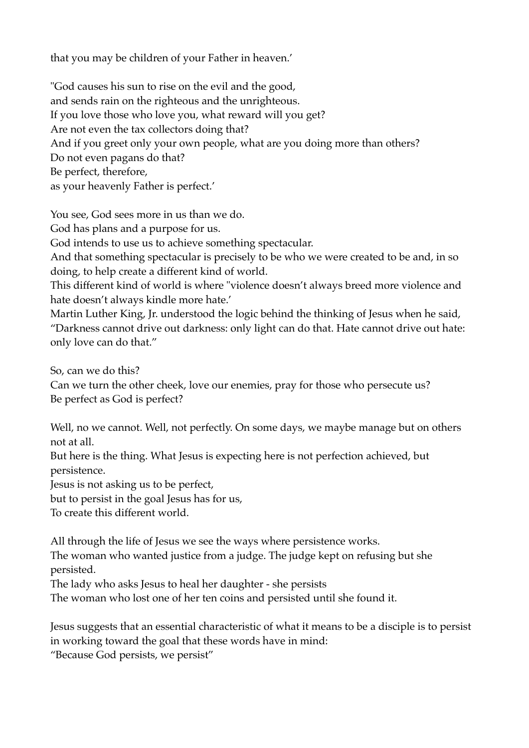that you may be children of your Father in heaven.'

"God causes his sun to rise on the evil and the good, and sends rain on the righteous and the unrighteous. If you love those who love you, what reward will you get? Are not even the tax collectors doing that? And if you greet only your own people, what are you doing more than others? Do not even pagans do that? Be perfect, therefore, as your heavenly Father is perfect.'

You see, God sees more in us than we do.

God has plans and a purpose for us.

God intends to use us to achieve something spectacular.

And that something spectacular is precisely to be who we were created to be and, in so doing, to help create a different kind of world.

This different kind of world is where "violence doesn't always breed more violence and hate doesn't always kindle more hate.'

Martin Luther King, Jr. understood the logic behind the thinking of Jesus when he said, "Darkness cannot drive out darkness: only light can do that. Hate cannot drive out hate: only love can do that."

So, can we do this?

Can we turn the other cheek, love our enemies, pray for those who persecute us? Be perfect as God is perfect?

Well, no we cannot. Well, not perfectly. On some days, we maybe manage but on others not at all.

But here is the thing. What Jesus is expecting here is not perfection achieved, but persistence.

Jesus is not asking us to be perfect,

but to persist in the goal Jesus has for us,

To create this different world.

All through the life of Jesus we see the ways where persistence works.

The woman who wanted justice from a judge. The judge kept on refusing but she persisted.

The lady who asks Jesus to heal her daughter - she persists

The woman who lost one of her ten coins and persisted until she found it.

Jesus suggests that an essential characteristic of what it means to be a disciple is to persist in working toward the goal that these words have in mind:

"Because God persists, we persist"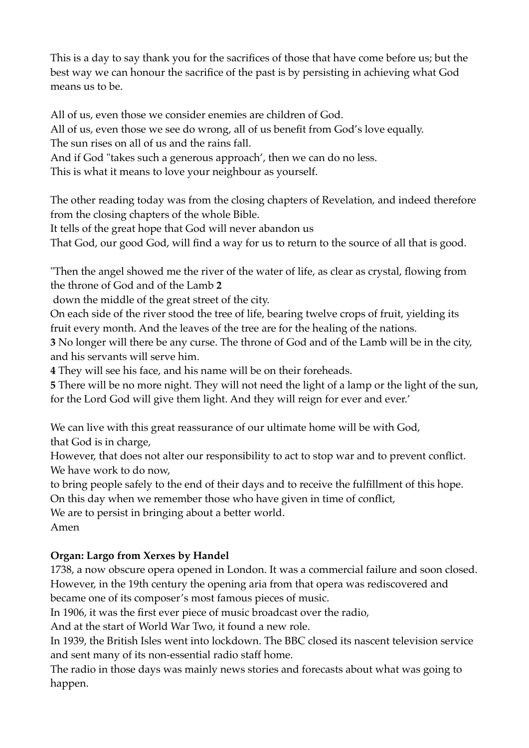This is a day to say thank you for the sacrifices of those that have come before us; but the best way we can honour the sacrifice of the past is by persisting in achieving what God means us to be.

All of us, even those we consider enemies are children of God.

All of us, even those we see do wrong, all of us benefit from God's love equally.

The sun rises on all of us and the rains fall.

And if God "takes such a generous approach', then we can do no less.

This is what it means to love your neighbour as yourself.

The other reading today was from the closing chapters of Revelation, and indeed therefore from the closing chapters of the whole Bible.

It tells of the great hope that God will never abandon us

That God, our good God, will find a way for us to return to the source of all that is good.

"Then the angel showed me the river of the water of life, as clear as crystal, flowing from the throne of God and of the Lamb **2**

down the middle of the great street of the city.

On each side of the river stood the tree of life, bearing twelve crops of fruit, yielding its fruit every month. And the leaves of the tree are for the healing of the nations.

**3** No longer will there be any curse. The throne of God and of the Lamb will be in the city, and his servants will serve him.

**4** They will see his face, and his name will be on their foreheads.

**5** There will be no more night. They will not need the light of a lamp or the light of the sun, for the Lord God will give them light. And they will reign for ever and ever.'

We can live with this great reassurance of our ultimate home will be with God,

that God is in charge,

However, that does not alter our responsibility to act to stop war and to prevent conflict. We have work to do now,

to bring people safely to the end of their days and to receive the fulfillment of this hope.

On this day when we remember those who have given in time of conflict,

We are to persist in bringing about a better world.

Amen

# **Organ: Largo from Xerxes by Handel**

1738, a now obscure opera opened in London. It was a commercial failure and soon closed. However, in the 19th century the opening aria from that opera was rediscovered and became one of its composer's most famous pieces of music.

In 1906, it was the first ever piece of music broadcast over the radio,

And at the start of World War Two, it found a new role.

In 1939, the British Isles went into lockdown. The BBC closed its nascent television service and sent many of its non-essential radio staff home.

The radio in those days was mainly news stories and forecasts about what was going to happen.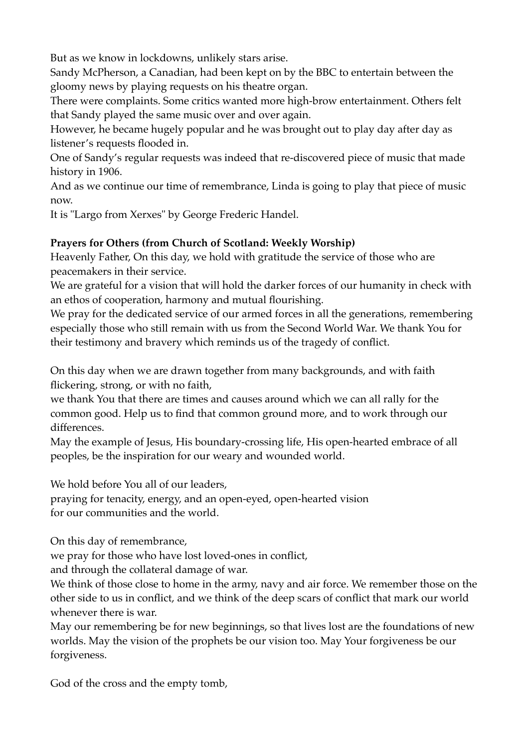But as we know in lockdowns, unlikely stars arise.

Sandy McPherson, a Canadian, had been kept on by the BBC to entertain between the gloomy news by playing requests on his theatre organ.

There were complaints. Some critics wanted more high-brow entertainment. Others felt that Sandy played the same music over and over again.

However, he became hugely popular and he was brought out to play day after day as listener's requests flooded in.

One of Sandy's regular requests was indeed that re-discovered piece of music that made history in 1906.

And as we continue our time of remembrance, Linda is going to play that piece of music now.

It is "Largo from Xerxes" by George Frederic Handel.

# **Prayers for Others (from Church of Scotland: Weekly Worship)**

Heavenly Father, On this day, we hold with gratitude the service of those who are peacemakers in their service.

We are grateful for a vision that will hold the darker forces of our humanity in check with an ethos of cooperation, harmony and mutual flourishing.

We pray for the dedicated service of our armed forces in all the generations, remembering especially those who still remain with us from the Second World War. We thank You for their testimony and bravery which reminds us of the tragedy of conflict.

On this day when we are drawn together from many backgrounds, and with faith flickering, strong, or with no faith,

we thank You that there are times and causes around which we can all rally for the common good. Help us to find that common ground more, and to work through our differences.

May the example of Jesus, His boundary-crossing life, His open-hearted embrace of all peoples, be the inspiration for our weary and wounded world.

We hold before You all of our leaders,

praying for tenacity, energy, and an open-eyed, open-hearted vision for our communities and the world.

On this day of remembrance,

we pray for those who have lost loved-ones in conflict,

and through the collateral damage of war.

We think of those close to home in the army, navy and air force. We remember those on the other side to us in conflict, and we think of the deep scars of conflict that mark our world whenever there is war.

May our remembering be for new beginnings, so that lives lost are the foundations of new worlds. May the vision of the prophets be our vision too. May Your forgiveness be our forgiveness.

God of the cross and the empty tomb,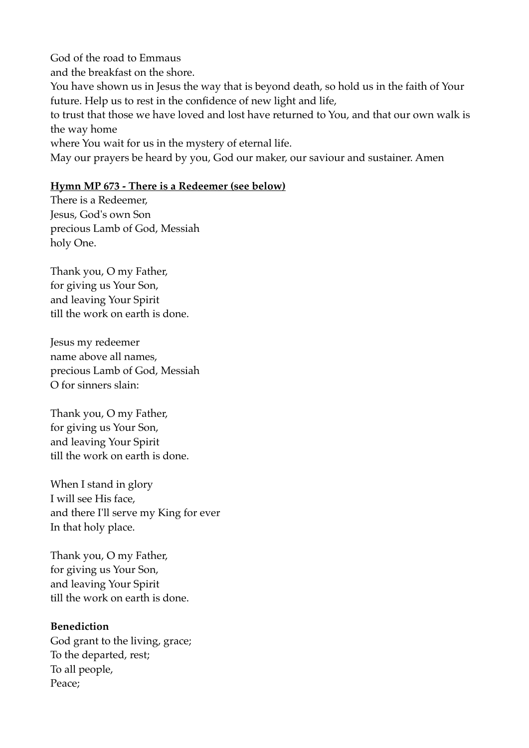God of the road to Emmaus and the breakfast on the shore. You have shown us in Jesus the way that is beyond death, so hold us in the faith of Your future. Help us to rest in the confidence of new light and life, to trust that those we have loved and lost have returned to You, and that our own walk is the way home where You wait for us in the mystery of eternal life. May our prayers be heard by you, God our maker, our saviour and sustainer. Amen

#### **Hymn MP 673 - There is a Redeemer (see below)**

There is a Redeemer, Jesus, God's own Son precious Lamb of God, Messiah holy One.

Thank you, O my Father, for [giving](https://www.definitions.net/definition/giving) us Your Son, and [leaving](https://www.definitions.net/definition/leaving) Your Spirit till the work on earth is done.

Jesus my redeemer name [above](https://www.definitions.net/definition/above) all names, precious Lamb of God, Messiah O for [sinners](https://www.definitions.net/definition/sinners) slain:

Thank you, O my Father, for [giving](https://www.definitions.net/definition/giving) us Your Son, and [leaving](https://www.definitions.net/definition/leaving) Your Spirit till the work on earth is done.

When I [stand](https://www.definitions.net/definition/stand) in glory I will see His face, and [there](https://www.definitions.net/definition/there) I'll [serve](https://www.definitions.net/definition/serve) my King for ever In that holy place.

Thank you, O my Father, for [giving](https://www.definitions.net/definition/giving) us Your Son, and [leaving](https://www.definitions.net/definition/leaving) Your Spirit till the work on earth is done.

## **Benediction**

God grant to the living, grace; To the departed, rest; To all people, Peace;